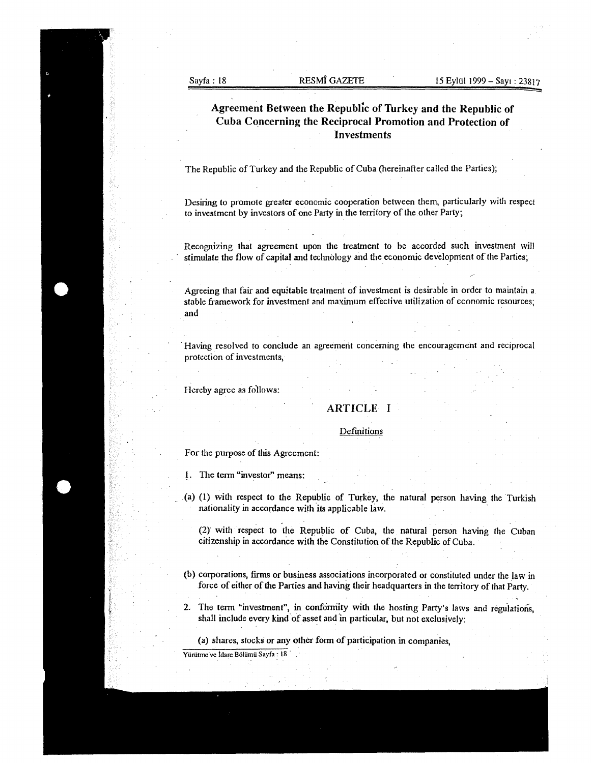# Agreement Between the Republic of Turkey and the Republic of Cuba Concerning the Reciprocal Promotion and Protection of Investments

The Republic of Turkey and the Republic of Cuba (hereinafter called the Parties);

Desiring to promote greater economic cooperation between lhem, particularly with respect to investment by investors of one Party in the territory of the other Party;

Recognizing that agreement upon the treatment to be accorded such investment will stimulate the flow of capital and technology and the economic development of the Parties;

Agreeing that fair and equitable treatment of investment is desirable in order to maintain a stable framework for investment and maximum effective utilization of economic resources; and

'Having resolved to conclude an agreemerit concerning the encouragement and reciprocal protection of investments,

Hereby agree as follows:

## ARTICLE I

#### Definitions

For the purpose of this Agreement:

1. The term "investor" means:

(a) (1) with respect to the Republic of Turkey, the natural person having the Turkish nationality in accordance with its applicable law.

(2) with respect to the Republic of Cuba, the natural person having the Cuban citizenship in accordance with the Constitution of the Republic of Cuba.

(b) corporations, firms or business associations incorporated or constituted under the law in force of either of the Parties and having their headquarters in the territory of that Party.

2. The term "investment", in conformity with the hosting Party's laws and regulations, shall include every kind 'of asset and 'in particular, but not exclusively:

(a) shares, stocks or any other form of participation in companies,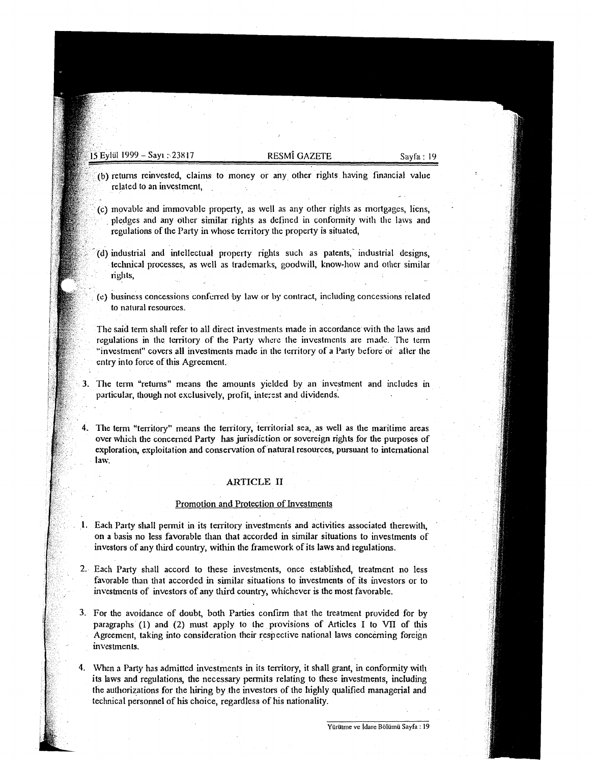#### **is Eylül 1999 - Sayı : 23817 RESMÎ GAZETE Savfa : 19**

- . (b) retums reinvested, c1airns to money or any other rights having financial value related to an investment,
- (c) movable and immovable property, as well as any other rights as mortgages, liens, . pledges and any other similar rights as defined in conformity with the laws and regulations of the Party in whose territory the property is situated,
- (d) industrial and intellectual property rights such as patents, industrial designs, technical processes, as well as trademarks, goodwill, know-how and other similar rights,
- . (t:) business concessions confcn-ed -by law or by contract, including concessions related to natural resources.

The said term shall refer to all direct investments made in accordance with the laws and regulations in the territory of the Party where the investments are made\_ The term "investment" covers all investments made in the territory of a Party before or after the entry into force of this Agreement.

- 3. The term "returns" means the amounts yielded by an investment and includes in particular, though not exclusively, profit, interest and dividends.
- 4. The term "territory" means the territory, territorial sea, as well as the maritime areas over which the concemed Party has jurisdiction or sovereign rights for the purposes of exploration, exploitation and conservation of natural resources, pursuant to intemational law.

#### ARTICLE II

#### Promotion and Protection of Investments

- 1. Each Patty shall permit in its tenitory investments and activities associated therewith, on a basis no less favorable than that accorded in similar situations to investments of investors of any third country, within the framework of its laws and regulations.
- 2. Each Party shall accord to these investments, once established, treatment no less favorable than that accorded in similar situations to mvestments of its investors or to investments of investors of any third country, whichever is the most favorable.
- 3. For the avoidance of doubt, both Parties confirm that the treatment provided for by paragraphs (1) and (2) must apply to the provisions of Articles I to VII of this Agreement, taking into consideration their respective national laws conceming foreign investments.
- 4. When a Party has admitted investments in its territory, it shall grant, in conformity with its laws and regulations, the necessary permits relating to these investments, including the authorizations for the hiring by the investors of the highly qualified managerial and teclmical personnel of his choice, regardless of his nationality.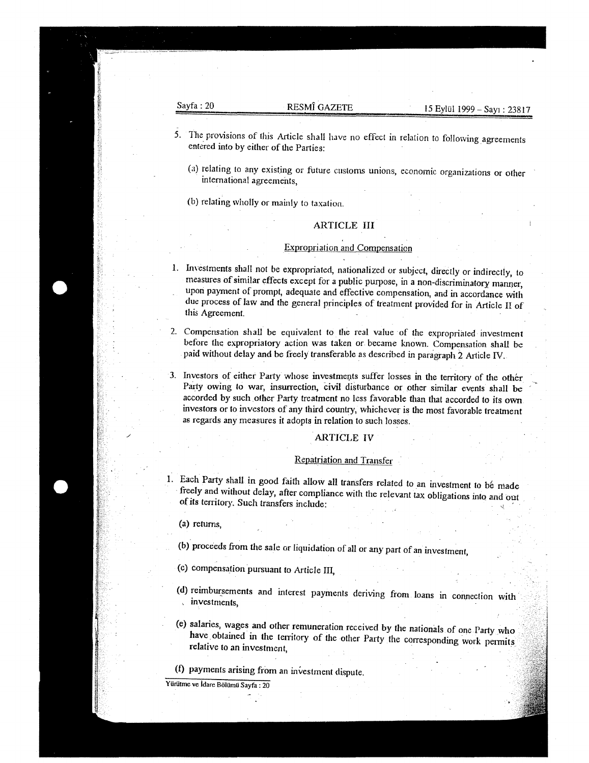- 5. The provisions of this Article shall have no effect in relation to following agreements entered into by either of the Parties:
	- (a) relating to any existing or future customs unions, economic organizations or other international agreements,

(b) relating wholly or mainly to taxation\_

#### ARTICLE III

#### Expropriation and Compensation

- 1. Investments shall not be expropriated, nationalized or subject, directly or indirectly, to measures of similar effects except for a public purpose, in a non-discriminatory manner. upori payment of prompt, adequate and effective compensation, and m accordance with due process of law and the general principles of treatment provided for in Article II of this Agreement.
- 2. Compensation shall be equivalent to the real value of the expropriated investment before the expropriatory action was taken or became known. Compensation shall be: paid without delay and be freely transferable as described in paragraph 2 Article IV.
- 3. Investors of either Party whose investments suffer losses in the territory of the other Party owing to war, insurrection, civil disturbance or other similar events shall be accorded by such other Party treatment no less favorable than that accorded to its own investors or to investors of any third country, whichever is the most favorable treatment as regards any measures it adopts m relation to such losses.

#### ARTICLE IV

### Repatriation and Transfer

- 1. Each Party shall in good faith allow all transfers related to an investment to be made . freely and without delay, after compliance with the relevant tax obligations into and out of its territory. Such transfers include:
	- (a) returns,
	- (b) proceeds from the sale or liquidation of all or any part of an mvestment,
	- (c) compensation pursuant to Article III,
	- (d) reimbursements and interest payments deriving from loans in connection with . investments,
	- (e) salaries, wages and other remuneration received by the nationals of one Party who have obtained in the territory of the other Party the corresponding work permits relative to an investment,

(1) payments arismg from an investment dispute.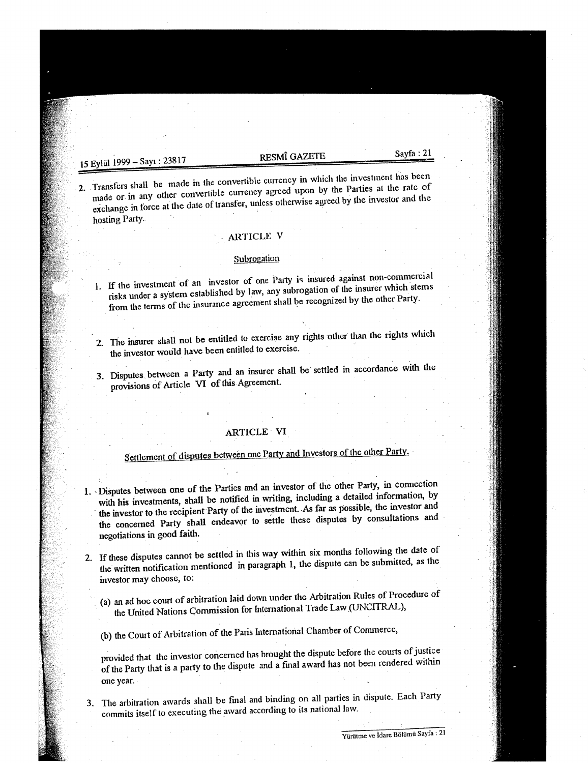15 Eylül 1999 - Sayı: 23817 RESMÎ GAZETE Sayfa: 21

2. Transfers shall be made in the convertible currency in which the investment has been made or in any other convertible currency agreed upon by the Parties at the rate of exchange in force at the date of transfer, unless otherwise agreed by the investor and the hosting Party.

#### ARTICLE V

### Subrogation

1. If the investment of an investor of one Party is insured against non-commercial risks under a system established by law, any subrogation of the insurer which stems from the terms of the insurance agreement shall be recognized by the other Party.

2. The insurer shall not be entitled to exercise any rights other than the rights which the investor wou1d have been entitled to exercise.

3. Disputes. between a Party and an insurer shall be· settled in accordance with the provisions of Article VI of this Agreement.

# ARTICLE VI

# Settlement of disputes between one Party and Investors of the other Party.

- 1. Disputes between one of the Parties and an investor of the other Party, in connection with his investments, shall be notified in writing, including a detailed information, by the investor to the recipient Party of the investment. As far as possible, the investor and the concerned Party shall endeavor to settle these disputes by consultations and negotiations in good faith.
- 2. If these disputes cannot be settled in this way within six months following the date of the written notification mentioned in paragraph 1, the dispute can be submitted, as the investor may choose, to:

(a) an ad hoc court of arbitration laid down under the Arbitration Rules of Procedure of the United Nations Commission for International Trade Law (UNCITRAL),

(b) the Court of Arbitration of the Paris International Chamber of Commerce,

provided that the investor concerned has brought the dispute before the courts of justice of the Party that is a party to the dispute and a final award has not been rendered within one year.·

3. TIle arbitration awards shall be final and binding on all parties in dispute. Each Party commits itself to executing the award according to its national law.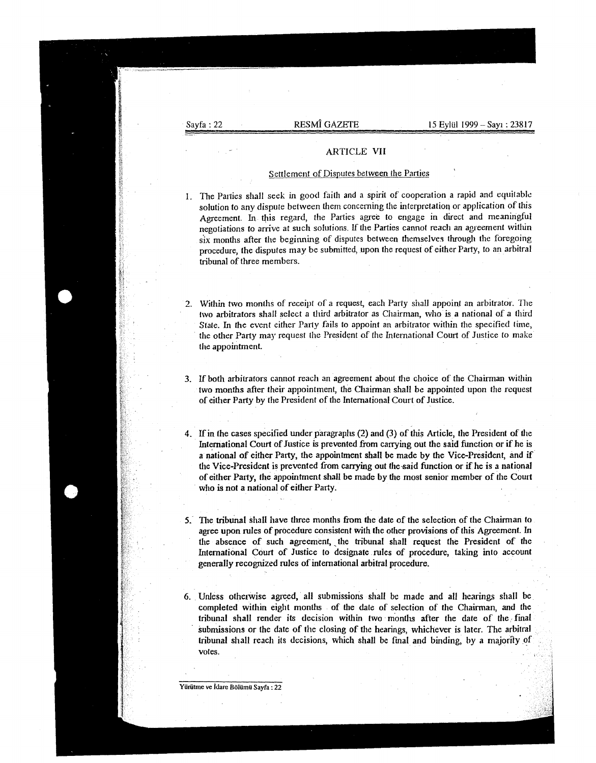#### ARTICLE VII

#### Settlement of Disputes between the Parties

1. The Parties shall seek in good faith and a spirit of cooperation a rapid and equitable solution to any dispute between them conceming the interpretation or application of this Agreement. In this regard, the Parties agree to engage in direct and meaningful negotiations to arrive at such solutions. If the Parties cannot reach an agreement within six months after the beginning of disputes between themselves through the foregoing procedure, the disputes may be submitted, upon the request of either Party, to an arbitral tribunal of three members.

2. Within two months of receipt of a request, each Party shall appoint an arbitrator. The two arbitrators shall select a third arbitrator as Chairman, who is a national of a third State. In the event either Party fails to appoint an arbitrator within the specified time, the other Party mar request the President of the Intemational Court of Justice to make the appointment.

3. If both arbitrators cannot reach an agreement about the choice of the Chairman within two months after their appointment, the Chairman shall be appointed upon the request of either Party by the President of the International Court of Justice.

4. If in the cases specified under paragraphs (2) and (3) of this Article, the President of the International Court of Justice is prevented from carrying out the said function or if he is a national of either Party, the appointment shall be made by the Vice-President, and if the Vice-President is prevented from carrying out the-said function or if he is a national of either Party, the appointment shall be made by the most senior member of the Court who is not a national of either Party.

5. TIle tribunal shall have three months from the date of the selection of the Chairman to agree upon rules of procedure consistent with the other provisions of this Agreement. In the absence of such agreement, the tribunal shall request the President of the Intemational Court of Justice to designate rules of procedure, taking into account generally recognized rules of international arbitral procedure.

6. Unless otherwise agreed, all submissions shall be made and all hearings shall be completed within eight months of the date of selection of the Chairman, and the tribunal shall render its decision within two· months after the date of the *i* Imal submissions or the date of the closing of the hearings, whichever is later. The arbitral tribunal shall reach its decisions, which shall be final and binding, by a majority of votes.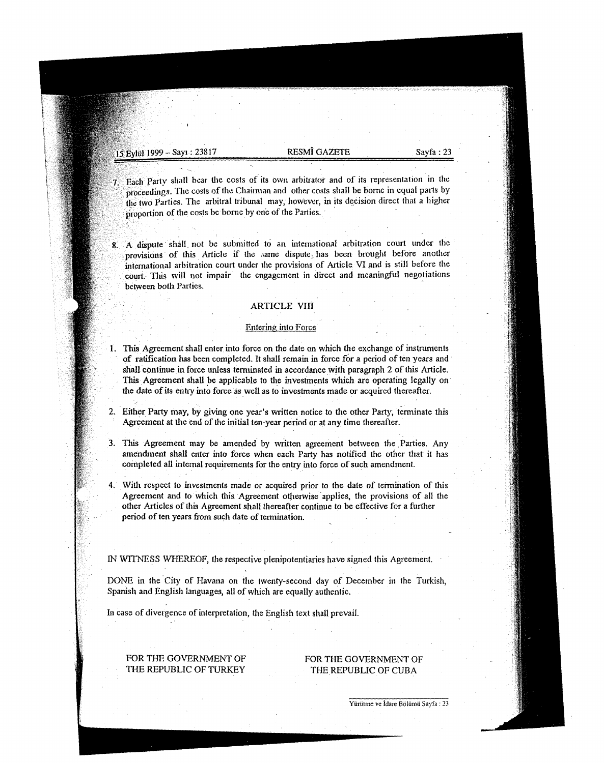$7$ : Each Party shall bear the costs of its own arbitrator and of its representation in the proceedings. The costs of the Chairman and other costs shall be borne in equal parts by the two Parties. The arbitral tribunal may, however, in its decision direct that a higher proportion of the costs be borne by one of the Parties.

8. A dispute shall not be submitted to an international arbitration court under the provisions of this Article if the same dispute has been brought before another international arbitration court under the provisions of Article VI and is still before the court. This will not impair the engagement in direct and meaningful negotiations between both Parties.

#### ARTICLE VIII

#### Entering into Force

- 1. This Agreement shall enter into force on the date on which the exchange of instruments of ratification has been completed. It shall remain in force for a period of ten years and shall continue in force unless terminated in accordance with paragraph 2 of this Article. This Agreement shall be applicable to the investments which are operating legally on the date of its entry into force as well as to investments made or acquired thereafter.
- 2 .. Either Party may, by giving one year's written notice to the other Party, terminate this Agreement at the end of the initial ten-year period or at any time thereafter.
- 3. This Agreement may be amended by written agreement between the Parties. Any amendment shall enter into force when each Party has notified the other that it has completed all internal requirements for the entry into force of such amendment.
- 4. With respect to investments made or acquired prior to the date of termination of this Agreement and to which this Agreement otherwise applies, the provisions of all the other Articles of this Agreement shall thereafter continue to be effective for a further period of ten years from such date of termination.

IN WITNESS WHEREOF, the respective plenipotentiaries have signed this Agreement.

DONE in the City of Havana on the twenty-second day of December in the Turkish, Spanish and English languages, all of which are equally authentic.

In case of divergence of interpretation, the English text shall prevail.

### FOR THE GOVERNMENT OF THE REPUBLIC OF TURKEY

#### FOR THE GOVERNMENT OF THE REPUBLIC OF CUBA